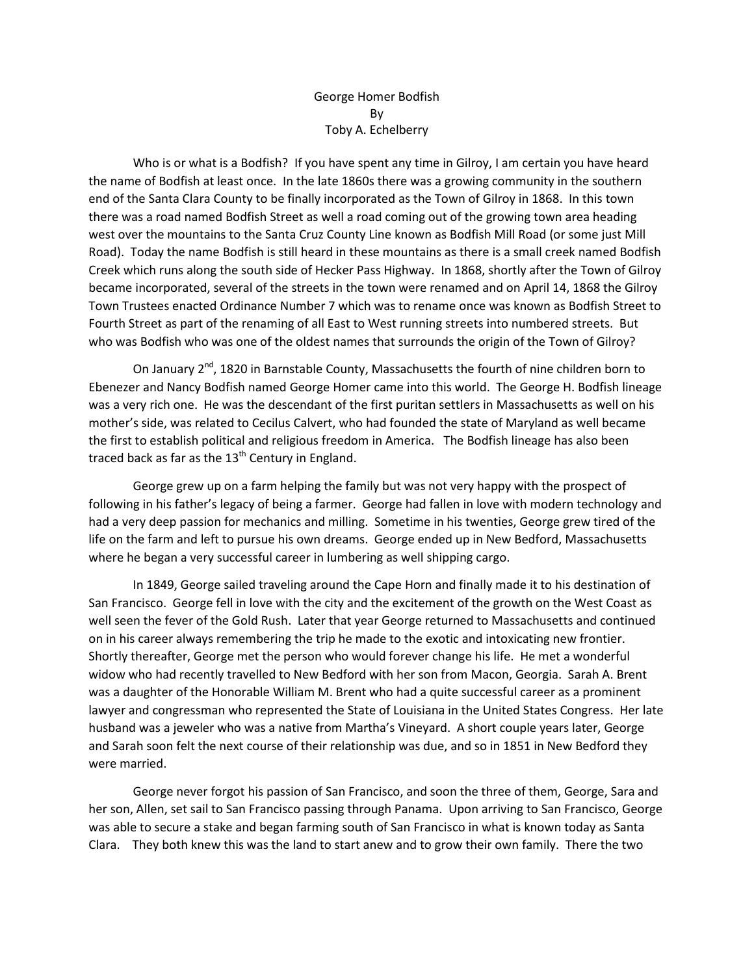## George Homer Bodfish By Toby A. Echelberry

Who is or what is a Bodfish? If you have spent any time in Gilroy, I am certain you have heard the name of Bodfish at least once. In the late 1860s there was a growing community in the southern end of the Santa Clara County to be finally incorporated as the Town of Gilroy in 1868. In this town there was a road named Bodfish Street as well a road coming out of the growing town area heading west over the mountains to the Santa Cruz County Line known as Bodfish Mill Road (or some just Mill Road). Today the name Bodfish is still heard in these mountains as there is a small creek named Bodfish Creek which runs along the south side of Hecker Pass Highway. In 1868, shortly after the Town of Gilroy became incorporated, several of the streets in the town were renamed and on April 14, 1868 the Gilroy Town Trustees enacted Ordinance Number 7 which was to rename once was known as Bodfish Street to Fourth Street as part of the renaming of all East to West running streets into numbered streets. But who was Bodfish who was one of the oldest names that surrounds the origin of the Town of Gilroy?

On January  $2^{nd}$ , 1820 in Barnstable County, Massachusetts the fourth of nine children born to Ebenezer and Nancy Bodfish named George Homer came into this world. The George H. Bodfish lineage was a very rich one. He was the descendant of the first puritan settlers in Massachusetts as well on his mother's side, was related to Cecilus Calvert, who had founded the state of Maryland as well became the first to establish political and religious freedom in America. The Bodfish lineage has also been traced back as far as the  $13<sup>th</sup>$  Century in England.

George grew up on a farm helping the family but was not very happy with the prospect of following in his father's legacy of being a farmer. George had fallen in love with modern technology and had a very deep passion for mechanics and milling. Sometime in his twenties, George grew tired of the life on the farm and left to pursue his own dreams. George ended up in New Bedford, Massachusetts where he began a very successful career in lumbering as well shipping cargo.

In 1849, George sailed traveling around the Cape Horn and finally made it to his destination of San Francisco. George fell in love with the city and the excitement of the growth on the West Coast as well seen the fever of the Gold Rush. Later that year George returned to Massachusetts and continued on in his career always remembering the trip he made to the exotic and intoxicating new frontier. Shortly thereafter, George met the person who would forever change his life. He met a wonderful widow who had recently travelled to New Bedford with her son from Macon, Georgia. Sarah A. Brent was a daughter of the Honorable William M. Brent who had a quite successful career as a prominent lawyer and congressman who represented the State of Louisiana in the United States Congress. Her late husband was a jeweler who was a native from Martha's Vineyard. A short couple years later, George and Sarah soon felt the next course of their relationship was due, and so in 1851 in New Bedford they were married.

George never forgot his passion of San Francisco, and soon the three of them, George, Sara and her son, Allen, set sail to San Francisco passing through Panama. Upon arriving to San Francisco, George was able to secure a stake and began farming south of San Francisco in what is known today as Santa Clara. They both knew this was the land to start anew and to grow their own family. There the two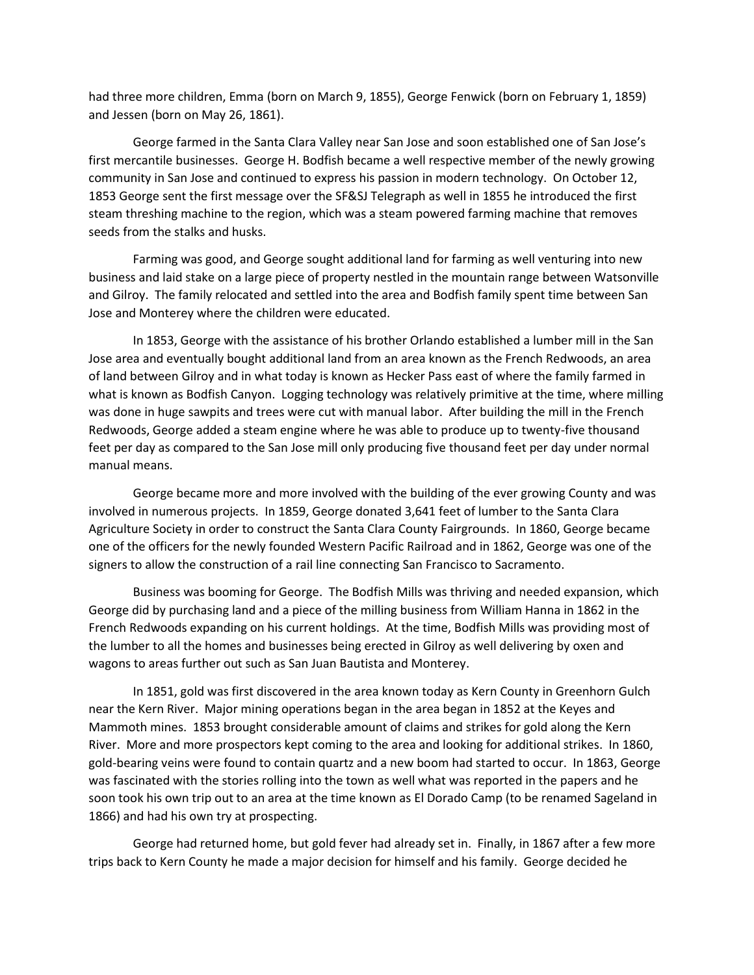had three more children, Emma (born on March 9, 1855), George Fenwick (born on February 1, 1859) and Jessen (born on May 26, 1861).

George farmed in the Santa Clara Valley near San Jose and soon established one of San Jose's first mercantile businesses. George H. Bodfish became a well respective member of the newly growing community in San Jose and continued to express his passion in modern technology. On October 12, 1853 George sent the first message over the SF&SJ Telegraph as well in 1855 he introduced the first steam threshing machine to the region, which was a steam powered farming machine that removes seeds from the stalks and husks.

Farming was good, and George sought additional land for farming as well venturing into new business and laid stake on a large piece of property nestled in the mountain range between Watsonville and Gilroy. The family relocated and settled into the area and Bodfish family spent time between San Jose and Monterey where the children were educated.

In 1853, George with the assistance of his brother Orlando established a lumber mill in the San Jose area and eventually bought additional land from an area known as the French Redwoods, an area of land between Gilroy and in what today is known as Hecker Pass east of where the family farmed in what is known as Bodfish Canyon. Logging technology was relatively primitive at the time, where milling was done in huge sawpits and trees were cut with manual labor. After building the mill in the French Redwoods, George added a steam engine where he was able to produce up to twenty-five thousand feet per day as compared to the San Jose mill only producing five thousand feet per day under normal manual means.

George became more and more involved with the building of the ever growing County and was involved in numerous projects. In 1859, George donated 3,641 feet of lumber to the Santa Clara Agriculture Society in order to construct the Santa Clara County Fairgrounds. In 1860, George became one of the officers for the newly founded Western Pacific Railroad and in 1862, George was one of the signers to allow the construction of a rail line connecting San Francisco to Sacramento.

Business was booming for George. The Bodfish Mills was thriving and needed expansion, which George did by purchasing land and a piece of the milling business from William Hanna in 1862 in the French Redwoods expanding on his current holdings. At the time, Bodfish Mills was providing most of the lumber to all the homes and businesses being erected in Gilroy as well delivering by oxen and wagons to areas further out such as San Juan Bautista and Monterey.

In 1851, gold was first discovered in the area known today as Kern County in Greenhorn Gulch near the Kern River. Major mining operations began in the area began in 1852 at the Keyes and Mammoth mines. 1853 brought considerable amount of claims and strikes for gold along the Kern River. More and more prospectors kept coming to the area and looking for additional strikes. In 1860, gold-bearing veins were found to contain quartz and a new boom had started to occur. In 1863, George was fascinated with the stories rolling into the town as well what was reported in the papers and he soon took his own trip out to an area at the time known as El Dorado Camp (to be renamed Sageland in 1866) and had his own try at prospecting.

George had returned home, but gold fever had already set in. Finally, in 1867 after a few more trips back to Kern County he made a major decision for himself and his family. George decided he